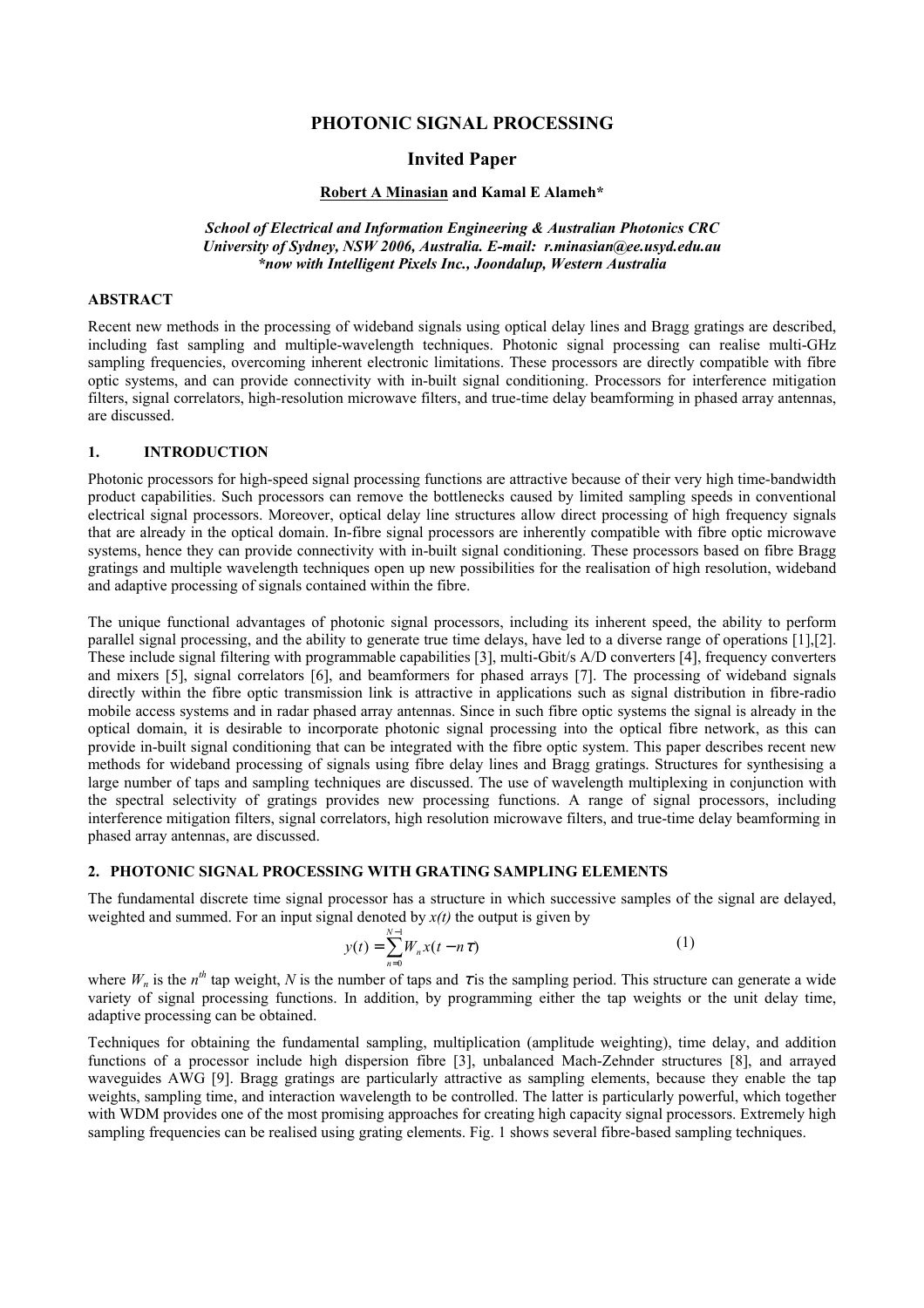# **PHOTONIC SIGNAL PROCESSING**

### **Invited Paper**

### **Robert A Minasian and Kamal E Alameh\***

*School of Electrical and Information Engineering & Australian Photonics CRC University of Sydney, NSW 2006, Australia. E-mail: r.minasian@ee.usyd.edu.au \*now with Intelligent Pixels Inc., Joondalup, Western Australia* 

#### **ABSTRACT**

Recent new methods in the processing of wideband signals using optical delay lines and Bragg gratings are described, including fast sampling and multiple-wavelength techniques. Photonic signal processing can realise multi-GHz sampling frequencies, overcoming inherent electronic limitations. These processors are directly compatible with fibre optic systems, and can provide connectivity with in-built signal conditioning. Processors for interference mitigation filters, signal correlators, high-resolution microwave filters, and true-time delay beamforming in phased array antennas, are discussed.

## **1. INTRODUCTION**

Photonic processors for high-speed signal processing functions are attractive because of their very high time-bandwidth product capabilities. Such processors can remove the bottlenecks caused by limited sampling speeds in conventional electrical signal processors. Moreover, optical delay line structures allow direct processing of high frequency signals that are already in the optical domain. In-fibre signal processors are inherently compatible with fibre optic microwave systems, hence they can provide connectivity with in-built signal conditioning. These processors based on fibre Bragg gratings and multiple wavelength techniques open up new possibilities for the realisation of high resolution, wideband and adaptive processing of signals contained within the fibre.

The unique functional advantages of photonic signal processors, including its inherent speed, the ability to perform parallel signal processing, and the ability to generate true time delays, have led to a diverse range of operations [1],[2]. These include signal filtering with programmable capabilities [3], multi-Gbit/s A/D converters [4], frequency converters and mixers [5], signal correlators [6], and beamformers for phased arrays [7]. The processing of wideband signals directly within the fibre optic transmission link is attractive in applications such as signal distribution in fibre-radio mobile access systems and in radar phased array antennas. Since in such fibre optic systems the signal is already in the optical domain, it is desirable to incorporate photonic signal processing into the optical fibre network, as this can provide in-built signal conditioning that can be integrated with the fibre optic system. This paper describes recent new methods for wideband processing of signals using fibre delay lines and Bragg gratings. Structures for synthesising a large number of taps and sampling techniques are discussed. The use of wavelength multiplexing in conjunction with the spectral selectivity of gratings provides new processing functions. A range of signal processors, including interference mitigation filters, signal correlators, high resolution microwave filters, and true-time delay beamforming in phased array antennas, are discussed.

# **2. PHOTONIC SIGNAL PROCESSING WITH GRATING SAMPLING ELEMENTS**

The fundamental discrete time signal processor has a structure in which successive samples of the signal are delayed, weighted and summed. For an input signal denoted by *x(t)* the output is given by

$$
y(t) = \sum_{n=0}^{N-1} W_n x(t - n\tau)
$$
 (1)

where  $W_n$  is the  $n^{th}$  tap weight, N is the number of taps and  $\tau$  is the sampling period. This structure can generate a wide variety of signal processing functions. In addition, by programming either the tap weights or the unit delay time, adaptive processing can be obtained.

Techniques for obtaining the fundamental sampling, multiplication (amplitude weighting), time delay, and addition functions of a processor include high dispersion fibre [3], unbalanced Mach-Zehnder structures [8], and arrayed waveguides AWG [9]. Bragg gratings are particularly attractive as sampling elements, because they enable the tap weights, sampling time, and interaction wavelength to be controlled. The latter is particularly powerful, which together with WDM provides one of the most promising approaches for creating high capacity signal processors. Extremely high sampling frequencies can be realised using grating elements. Fig. 1 shows several fibre-based sampling techniques.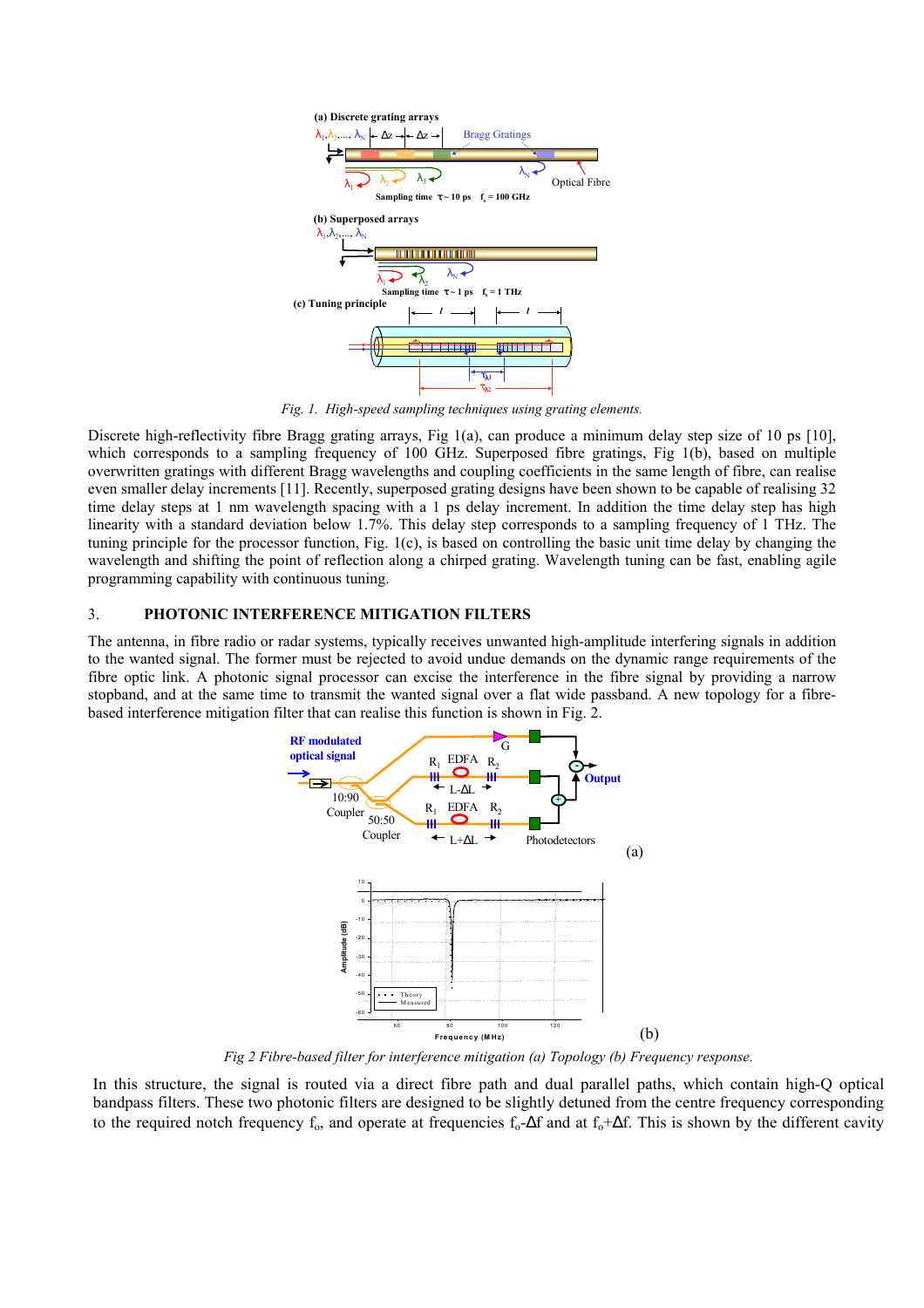

*Fig. 1. High-speed sampling techniques using grating elements.* 

Discrete high-reflectivity fibre Bragg grating arrays, Fig 1(a), can produce a minimum delay step size of 10 ps [10], which corresponds to a sampling frequency of 100 GHz. Superposed fibre gratings, Fig 1(b), based on multiple overwritten gratings with different Bragg wavelengths and coupling coefficients in the same length of fibre, can realise even smaller delay increments [11]. Recently, superposed grating designs have been shown to be capable of realising 32 time delay steps at 1 nm wavelength spacing with a 1 ps delay increment. In addition the time delay step has high linearity with a standard deviation below 1.7%. This delay step corresponds to a sampling frequency of 1 THz. The tuning principle for the processor function, Fig. 1(c), is based on controlling the basic unit time delay by changing the wavelength and shifting the point of reflection along a chirped grating. Wavelength tuning can be fast, enabling agile programming capability with continuous tuning.

## 3. **PHOTONIC INTERFERENCE MITIGATION FILTERS**

The antenna, in fibre radio or radar systems, typically receives unwanted high-amplitude interfering signals in addition to the wanted signal. The former must be rejected to avoid undue demands on the dynamic range requirements of the fibre optic link. A photonic signal processor can excise the interference in the fibre signal by providing a narrow stopband, and at the same time to transmit the wanted signal over a flat wide passband. A new topology for a fibrebased interference mitigation filter that can realise this function is shown in Fig. 2.



*Fig 2 Fibre-based filter for interference mitigation (a) Topology (b) Frequency response.* 

In this structure, the signal is routed via a direct fibre path and dual parallel paths, which contain high-Q optical bandpass filters. These two photonic filters are designed to be slightly detuned from the centre frequency corresponding to the required notch frequency  $f_0$ , and operate at frequencies  $f_0$ -∆f and at  $f_0$ +∆f. This is shown by the different cavity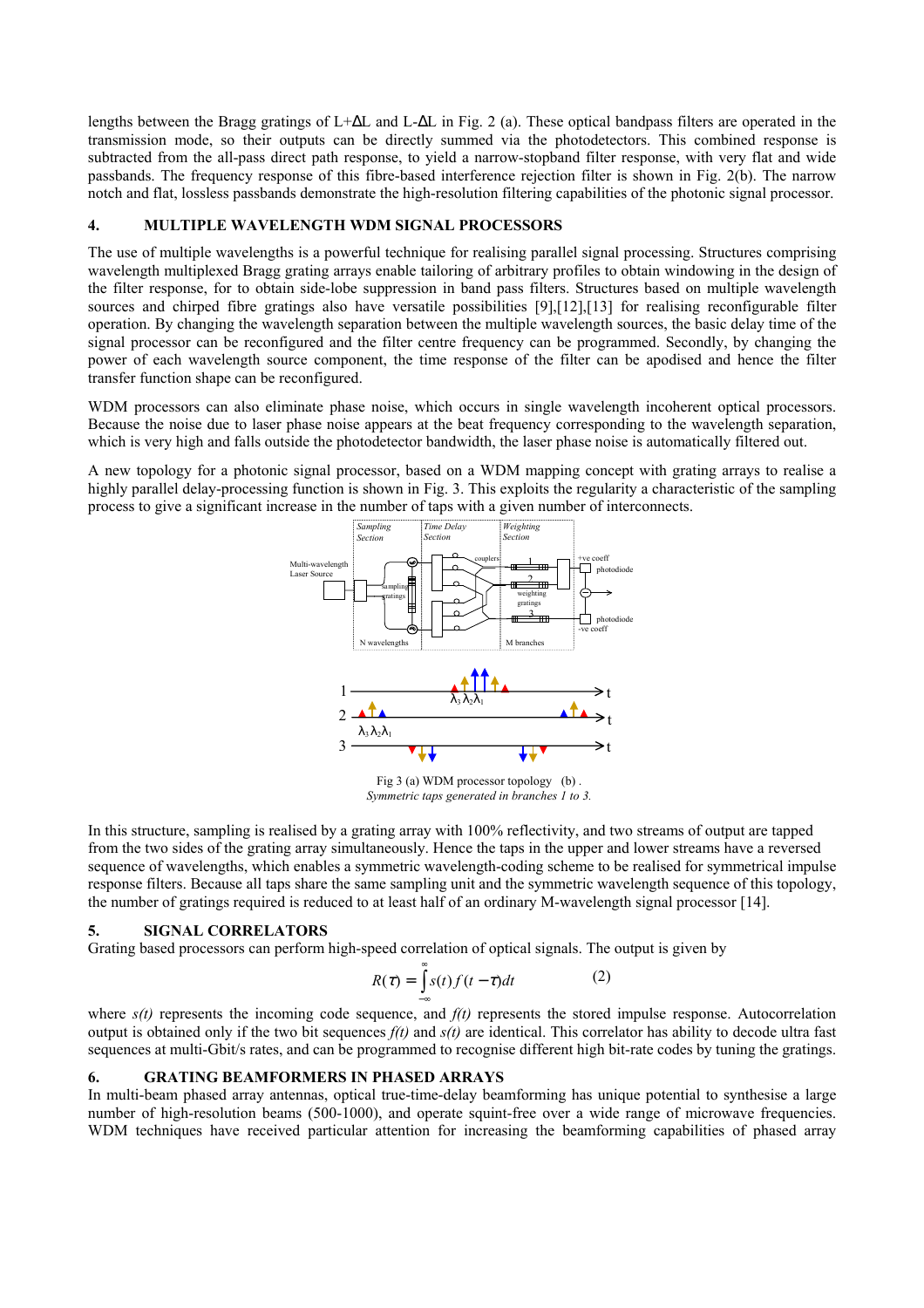lengths between the Bragg gratings of L+∆L and L-∆L in Fig. 2 (a). These optical bandpass filters are operated in the transmission mode, so their outputs can be directly summed via the photodetectors. This combined response is subtracted from the all-pass direct path response, to yield a narrow-stopband filter response, with very flat and wide passbands. The frequency response of this fibre-based interference rejection filter is shown in Fig. 2(b). The narrow notch and flat, lossless passbands demonstrate the high-resolution filtering capabilities of the photonic signal processor.

### **4. MULTIPLE WAVELENGTH WDM SIGNAL PROCESSORS**

The use of multiple wavelengths is a powerful technique for realising parallel signal processing. Structures comprising wavelength multiplexed Bragg grating arrays enable tailoring of arbitrary profiles to obtain windowing in the design of the filter response, for to obtain side-lobe suppression in band pass filters. Structures based on multiple wavelength sources and chirped fibre gratings also have versatile possibilities [9],[12],[13] for realising reconfigurable filter operation. By changing the wavelength separation between the multiple wavelength sources, the basic delay time of the signal processor can be reconfigured and the filter centre frequency can be programmed. Secondly, by changing the power of each wavelength source component, the time response of the filter can be apodised and hence the filter transfer function shape can be reconfigured.

WDM processors can also eliminate phase noise, which occurs in single wavelength incoherent optical processors. Because the noise due to laser phase noise appears at the beat frequency corresponding to the wavelength separation, which is very high and falls outside the photodetector bandwidth, the laser phase noise is automatically filtered out.

A new topology for a photonic signal processor, based on a WDM mapping concept with grating arrays to realise a highly parallel delay-processing function is shown in Fig. 3. This exploits the regularity a characteristic of the sampling process to give a significant increase in the number of taps with a given number of interconnects.



Fig 3 (a) WDM processor topology (b) . *Symmetric taps generated in branches 1 to 3.*

In this structure, sampling is realised by a grating array with 100% reflectivity, and two streams of output are tapped from the two sides of the grating array simultaneously. Hence the taps in the upper and lower streams have a reversed sequence of wavelengths, which enables a symmetric wavelength-coding scheme to be realised for symmetrical impulse response filters. Because all taps share the same sampling unit and the symmetric wavelength sequence of this topology, the number of gratings required is reduced to at least half of an ordinary M-wavelength signal processor [14].

# **5. SIGNAL CORRELATORS**

Grating based processors can perform high-speed correlation of optical signals. The output is given by

$$
R(\tau) = \int_{-\infty}^{\infty} s(t) f(t - \tau) dt
$$
 (2)

where  $s(t)$  represents the incoming code sequence, and  $f(t)$  represents the stored impulse response. Autocorrelation output is obtained only if the two bit sequences  $f(t)$  and  $s(t)$  are identical. This correlator has ability to decode ultra fast sequences at multi-Gbit/s rates, and can be programmed to recognise different high bit-rate codes by tuning the gratings.

#### **6. GRATING BEAMFORMERS IN PHASED ARRAYS**

In multi-beam phased array antennas, optical true-time-delay beamforming has unique potential to synthesise a large number of high-resolution beams (500-1000), and operate squint-free over a wide range of microwave frequencies. WDM techniques have received particular attention for increasing the beamforming capabilities of phased array